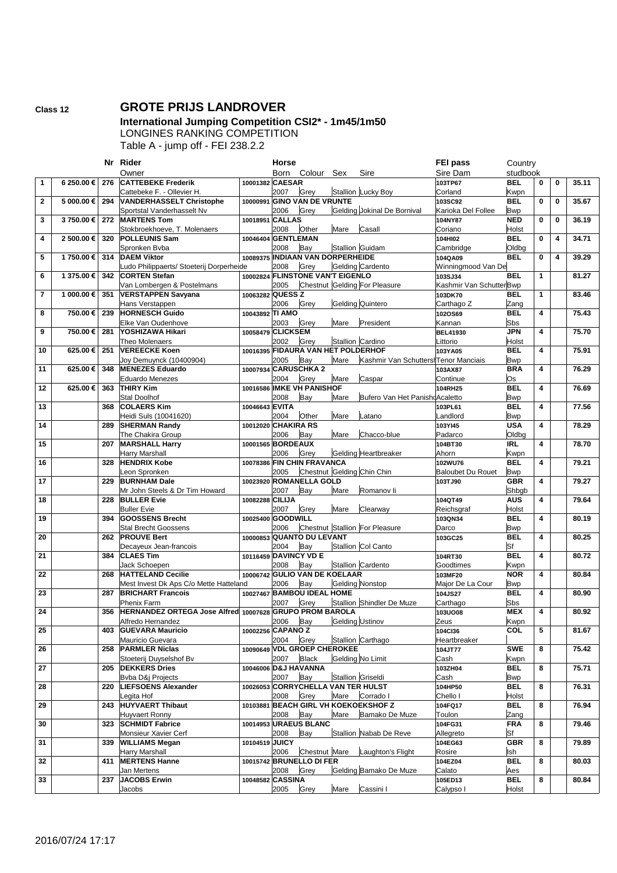## **Class 12 GROTE PRIJS LANDROVER**

## **International Jumping Competition CSI2\* - 1m45/1m50** LONGINES RANKING COMPETITION

Table A - jump off - FEI 238.2.2

|                |            |     | Nr Rider                                                |                       | Horse |                                    |      |                                      | <b>FEI pass</b>          | Country             |              |   |       |
|----------------|------------|-----|---------------------------------------------------------|-----------------------|-------|------------------------------------|------|--------------------------------------|--------------------------|---------------------|--------------|---|-------|
|                |            |     | Owner                                                   |                       | Born  | Colour Sex                         |      | Sire                                 | Sire Dam                 | studbook            |              |   |       |
| 1              | 6 250.00 € | 276 | <b>CATTEBEKE Frederik</b>                               | 10001382 CAESAR       |       |                                    |      |                                      | 103TP67                  | <b>BEL</b>          | 0            | 0 | 35.11 |
|                |            |     | Cattebeke F. - Ollevier H.                              |                       | 2007  | Grey                               |      | Stallion Lucky Boy                   | Corland                  | Kwpn                |              |   |       |
| $\mathbf{2}$   | 5 000.00 € | 294 | <b>VANDERHASSELT Christophe</b>                         |                       |       | 10000991 GINO VAN DE VRUNTE        |      |                                      | 103SC92                  | <b>BEL</b>          | $\mathbf 0$  | 0 | 35.67 |
|                |            |     | Sportstal Vanderhasselt Nv                              |                       | 2006  | Grey                               |      | Gelding Jokinal De Bornival          | Karioka Del Follee       | <b>Bwp</b>          |              |   |       |
| 3              | 3750.00€   | 272 | <b>MARTENS Tom</b>                                      | 10018951 CALLAS       |       |                                    |      |                                      | 104NY87                  | <b>NED</b>          | $\mathbf 0$  | 0 | 36.19 |
|                |            |     | Stokbroekhoeve, T. Molenaers                            |                       | 2008  | Other                              | Mare | Casall                               | Coriano                  | Holst               |              |   |       |
| 4              | 2 500.00 € | 320 | <b>POLLEUNIS Sam</b>                                    | 10046404 GENTLEMAN    |       |                                    |      |                                      | 104HI02                  | <b>BEL</b>          | 0            | 4 | 34.71 |
|                |            |     | Spronken Byba                                           |                       | 2008  | Bay                                |      | Stallion Guidam                      | Cambridge                | Oldbg               |              |   |       |
| 5              | 1750.00€   | 314 | <b>DAEM Viktor</b>                                      |                       |       | 10089375 INDIAAN VAN DORPERHEIDE   |      |                                      | 104QA09                  | <b>BEL</b>          | $\mathbf{0}$ | 4 | 39.29 |
|                |            |     | Ludo Philippaerts/ Stoeterij Dorperheide                |                       | 2008  | Grey                               |      | Gelding Cardento                     | Winningmood Van De       |                     |              |   |       |
| 6              | 1 375.00 € | 342 | <b>CORTEN Stefan</b>                                    |                       |       | 10002824 FLINSTONE VAN'T EIGENLO   |      |                                      | 103SJ34                  | <b>BEL</b>          | $\mathbf{1}$ |   | 81.27 |
|                |            |     | Van Lombergen & Postelmans                              |                       | 2005  |                                    |      | Chestnut Gelding For Pleasure        | Kashmir Van SchutterBwp  |                     |              |   |       |
| $\overline{7}$ | 1 000.00 € | 351 | <b>VERSTAPPEN Savyana</b>                               | 10063282 QUESS Z      |       |                                    |      |                                      | 103DK70                  | <b>BEL</b>          | $\mathbf{1}$ |   | 83.46 |
|                |            |     | Hans Verstappen                                         |                       | 2006  | Grey                               |      | <b>Gelding Quintero</b>              | Carthago Z               | Zang                |              |   |       |
| 8              | 750.00€    | 239 | <b>HORNESCH Guido</b>                                   | 10043892 TI AMO       |       |                                    |      |                                      | 102OS69                  | <b>BEL</b>          | 4            |   | 75.43 |
|                |            |     | Elke Van Oudenhove                                      |                       | 2003  | Grey                               | Mare | President                            | Kannan                   | Sbs                 |              |   |       |
| 9              | 750.00€    | 281 | YOSHIZAWA Hikari                                        | 10058479 CLICKSEM     |       |                                    |      |                                      | <b>BEL41930</b>          | <b>JPN</b>          | 4            |   | 75.70 |
|                |            |     | Theo Molenaers                                          |                       | 2002  | Grey                               |      | Stallion Cardino                     | Littorio                 | Holst               |              |   |       |
| 10             | 625.00€    | 251 | <b>VEREECKE Koen</b>                                    |                       |       | 10016395 FIDAURA VAN HET POLDERHOF |      |                                      | 103YA05                  | <b>BEL</b>          | 4            |   | 75.91 |
|                |            |     | Joy Demuynck (10400904)                                 |                       | 2005  | Bay                                | Mare | Kashmir Van SchuttershTenor Manciais |                          | <b>Bwp</b>          |              |   |       |
| 11             | 625.00€    | 348 | <b>MENEZES Eduardo</b>                                  | 10007934 CARUSCHKA 2  |       |                                    |      |                                      | 103AX87                  | <b>BRA</b>          | 4            |   | 76.29 |
|                |            |     | <b>Eduardo Menezes</b>                                  |                       | 2004  | Grey                               | Mare | Caspar                               | Continue                 | Os                  |              |   |       |
| 12             | 625.00€    | 363 | <b>THIRY Kim</b>                                        | 10016586              |       | <b>IMKE VH PANISHOF</b>            |      |                                      | 104RH25                  | <b>BEL</b>          | 4            |   | 76.69 |
|                |            |     | Stal Doolhof                                            |                       | 2008  | Bay                                | Mare | Bufero Van Het PanishdAcaletto       |                          | <b>Bwp</b>          |              |   |       |
| 13             |            | 368 | <b>COLAERS Kim</b>                                      | 10046643 EVITA        |       |                                    |      |                                      | 103PL61                  | <b>BEL</b>          | 4            |   | 77.56 |
|                |            |     | Heidi Suls (10041620)                                   |                       | 2004  | Other                              | Mare | Latano                               | Landlord                 | <b>Bwp</b>          |              |   |       |
| 14             |            | 289 | <b>SHERMAN Randy</b>                                    | 10012020 CHAKIRA RS   |       |                                    |      |                                      | 103YI45                  | <b>USA</b>          | 4            |   | 78.29 |
|                |            |     | The Chakira Group                                       |                       |       |                                    | Mare |                                      |                          |                     |              |   |       |
|                |            |     |                                                         | 10001565 BORDEAUX     | 2006  | Bay                                |      | Chacco-blue                          | Padarco                  | Oldbg<br><b>IRL</b> | 4            |   |       |
| 15             |            | 207 | <b>MARSHALL Harry</b>                                   |                       |       |                                    |      |                                      | 104BT30                  |                     |              |   | 78.70 |
|                |            |     | Harry Marshall                                          |                       | 2006  | Grey<br>10078386 FIN CHIN FRAVANCA |      | <b>Gelding Heartbreaker</b>          | Ahorn                    | Kwpn                |              |   |       |
| 16             |            | 328 | <b>HENDRIX Kobe</b>                                     |                       |       |                                    |      |                                      | 102WU76                  | <b>BEL</b>          | 4            |   | 79.21 |
|                |            |     | Leon Spronken                                           |                       | 2005  |                                    |      | Chestnut Gelding Chin Chin           | <b>Baloubet Du Rouet</b> | <b>Bwp</b>          |              |   |       |
| 17             |            | 229 | <b>BURNHAM Dale</b>                                     |                       |       | 10023920 ROMANELLA GOLD            |      |                                      | 103TJ90                  | <b>GBR</b>          | 4            |   | 79.27 |
|                |            |     | Mr John Steels & Dr Tim Howard                          |                       | 2007  | Bay                                | Mare | Romanov li                           |                          | Shbgb               |              |   |       |
| 18             |            | 228 | <b>BULLER Evie</b>                                      | 10082288 CILIJA       |       |                                    |      |                                      | 104QT49                  | <b>AUS</b>          | 4            |   | 79.64 |
|                |            | 394 | <b>Buller Evie</b><br><b>GOOSSENS Brecht</b>            |                       | 2007  | Grey                               | Mare | Clearway                             | Reichsgraf               | Holst               |              |   |       |
| 19             |            |     |                                                         |                       |       |                                    |      |                                      | 103QN34                  | <b>BEL</b>          | 4            |   | 80.19 |
|                |            |     |                                                         | 10025400 GOODWILL     |       |                                    |      |                                      |                          |                     |              |   |       |
|                |            |     | <b>Stal Brecht Goossens</b>                             |                       | 2006  |                                    |      | Chestnut Stallion For Pleasure       | Darco                    | <b>Bwp</b>          |              |   |       |
| 20             |            | 262 | <b>PROUVE Bert</b>                                      |                       |       | 10000853 QUANTO DU LEVANT          |      |                                      | 103GC25                  | <b>BEL</b>          | 4            |   | 80.25 |
|                |            |     | Decayeux Jean-francois                                  |                       | 2004  | Bay                                |      | <b>Stallion Col Canto</b>            |                          | Sf                  |              |   |       |
| 21             |            | 384 | <b>CLAES Tim</b>                                        | 10116459 DAVINCY VD E |       |                                    |      |                                      | 104RT30                  | <b>BEL</b>          | 4            |   | 80.72 |
|                |            |     | Jack Schoepen                                           |                       | 2008  | Bay                                |      | Stallion Cardento                    | Goodtimes                | Kwpn                |              |   |       |
| 22             |            | 268 | <b>HATTELAND Cecilie</b>                                |                       |       | 10006742 GULIO VAN DE KOELAAR      |      |                                      | 103MF20                  | <b>NOR</b>          | 4            |   | 80.84 |
|                |            |     | Mest Invest Dk Aps C/o Mette Hatteland                  |                       | 2006  | Bay                                |      | <b>Gelding Nonstop</b>               | Major De La Cour         | <b>Bwp</b>          |              |   |       |
| 23             |            | 287 | <b>BRICHART Francois</b>                                |                       |       | 10027467 BAMBOU IDEAL HOME         |      |                                      | 104JS27                  | <b>BEL</b>          | 4            |   | 80.90 |
|                |            |     | Phenix Farm                                             |                       | 2007  | Grey                               |      | <b>Stallion Shindler De Muze</b>     | Carthago                 | Sbs                 |              |   |       |
| 24             |            | 356 | HERNANDEZ ORTEGA Jose Alfred 10007628 GRUPO PROM BAROLA |                       |       |                                    |      |                                      | 103UO08                  | <b>MEX</b>          | 4            |   | 80.92 |
|                |            |     | Alfredo Hernandez                                       |                       | 2006  | Bay                                |      | <b>Gelding Ustinov</b>               | Zeus                     | Kwpn                |              |   |       |
| 25             |            | 403 | <b>GUEVARA Mauricio</b>                                 | 10002256 CAPANO Z     |       |                                    |      |                                      | 104Cl36                  | COL                 | 5            |   | 81.67 |
|                |            |     | Mauricio Guevara                                        |                       | 2004  | Grey                               |      | Stallion Carthago                    | Heartbreaker             |                     |              |   |       |
| 26             |            | 258 | <b>PARMLER Niclas</b>                                   |                       |       | 10090649 VDL GROEP CHEROKEE        |      |                                      | 104JT77                  | <b>SWE</b>          | 8            |   | 75.42 |
|                |            |     | Stoeterij Duyselshof Bv                                 |                       | 2007  | <b>Black</b>                       |      | Gelding No Limit                     | Cash                     | Kwpn                |              |   |       |
| 27             |            | 205 | <b>DEKKERS Dries</b>                                    | 10046006 D&J HAVANNA  |       |                                    |      |                                      | 103ZH04                  | <b>BEL</b>          | 8            |   | 75.71 |
|                |            |     | Bvba D&j Projects                                       |                       | 2007  | Bay                                |      | Stallion Griseldi                    | Cash                     | <b>Bwp</b>          |              |   |       |
| 28             |            | 220 | <b>LIEFSOENS Alexander</b>                              |                       |       |                                    |      | 10026053 CORRYCHELLA VAN TER HULST   | 104HP50                  | <b>BEL</b>          | 8            |   | 76.31 |
|                |            |     | Legita Hof                                              |                       | 2008  | Grey                               | Mare | Corrado I                            | Chello I                 | Holst               |              |   |       |
| 29             |            | 243 | <b>HUYVAERT Thibaut</b>                                 |                       |       |                                    |      | 10103881 BEACH GIRL VH KOEKOEKSHOF Z | 104FQ17                  | <b>BEL</b>          | 8            |   | 76.94 |
|                |            |     | Huyvaert Ronny                                          |                       | 2008  | Bay                                | Mare | Bamako De Muze                       | Toulon                   | Zang                |              |   |       |
| 30             |            | 323 | <b>SCHMIDT Fabrice</b>                                  |                       |       | 10014953 URAEUS BLANC              |      |                                      | 104FG31                  | <b>FRA</b>          | 8            |   | 79.46 |
|                |            |     | Monsieur Xavier Cerf                                    |                       | 2008  | Bay                                |      | Stallion Nabab De Reve               | Allegreto                | Sf                  |              |   |       |
| 31             |            | 339 | <b>WILLIAMS Megan</b>                                   | 10104519 JUICY        |       |                                    |      |                                      | 104EG63                  | <b>GBR</b>          | 8            |   | 79.89 |
|                |            |     | Harry Marshall                                          |                       | 2006  | Chestnut Mare                      |      | Laughton's Flight                    | Rosire                   | Ish                 |              |   |       |
| 32             |            | 411 | <b>MERTENS Hanne</b>                                    |                       |       | 10015742 BRUNELLO DI FER           |      |                                      | 104EZ04                  | <b>BEL</b>          | 8            |   | 80.03 |
|                |            |     | Jan Mertens                                             |                       | 2008  | Grey                               |      | Gelding Bamako De Muze               | Calato                   | Aes                 |              |   |       |
| 33             |            | 237 | <b>JACOBS Erwin</b><br>Jacobs                           | 10048582 CASSINA      | 2005  | Grey                               | Mare | Cassini I                            | 105ED13<br>Calypso I     | <b>BEL</b><br>Holst | 8            |   | 80.84 |